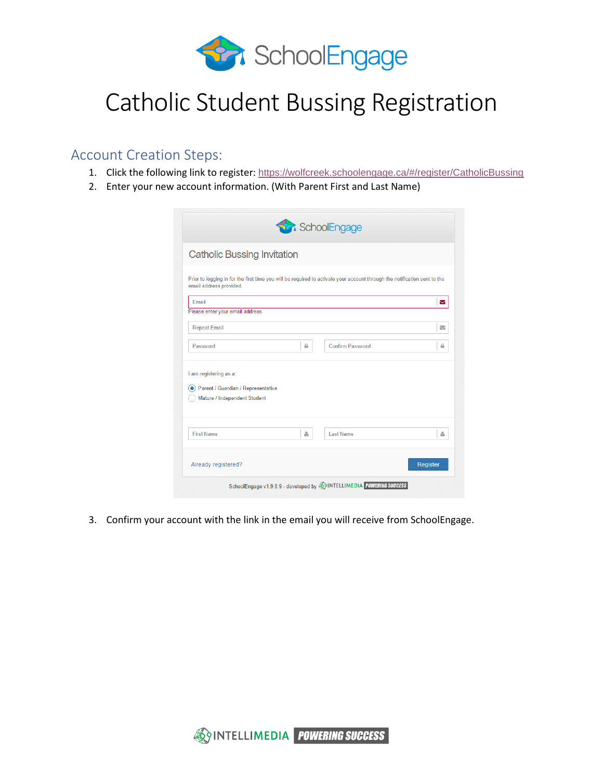

## Catholic Student Bussing Registration

## Account Creation Steps:

- 1. Click the following link to register: <https://wolfcreek.schoolengage.ca/#/register/CatholicBussing>
- 2. Enter your new account information. (With Parent First and Last Name)

| <b>Catholic Bussing Invitation</b> |   |                                                                                                                           |                          |
|------------------------------------|---|---------------------------------------------------------------------------------------------------------------------------|--------------------------|
| email address provided.            |   | Prior to logging in for the first time you will be required to activate your account through the notification sent to the |                          |
| Email                              |   |                                                                                                                           | Σ                        |
| Please enter your email address    |   |                                                                                                                           |                          |
| <b>Repeat Email</b>                |   |                                                                                                                           | $\overline{\phantom{0}}$ |
| Password                           | А | Confirm Password                                                                                                          | ₽                        |
| I am registering as a:             |   |                                                                                                                           |                          |
| Parent / Guardian / Representative |   |                                                                                                                           |                          |
| Mature / Independent Student       |   |                                                                                                                           |                          |
| <b>First Name</b>                  | Δ | <b>Last Name</b>                                                                                                          | Δ                        |
|                                    |   |                                                                                                                           |                          |

3. Confirm your account with the link in the email you will receive from SchoolEngage.